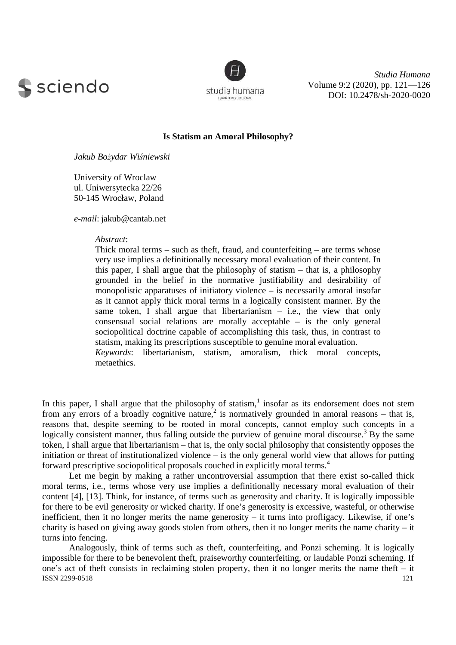



*Studia Humana*  Volume 9:2 (2020), pp. 121—126 DOI: 10.2478/sh-2020-0020

## **Is Statism an Amoral Philosophy?**

*Jakub Bożydar Wiśniewski* 

University of Wroclaw ul. Uniwersytecka 22/26 50-145 Wrocław, Poland

*e-mail*: jakub@cantab.net

## *Abstract*:

Thick moral terms – such as theft, fraud, and counterfeiting – are terms whose very use implies a definitionally necessary moral evaluation of their content. In this paper, I shall argue that the philosophy of statism – that is, a philosophy grounded in the belief in the normative justifiability and desirability of monopolistic apparatuses of initiatory violence – is necessarily amoral insofar as it cannot apply thick moral terms in a logically consistent manner. By the same token, I shall argue that libertarianism  $-$  i.e., the view that only consensual social relations are morally acceptable – is the only general sociopolitical doctrine capable of accomplishing this task, thus, in contrast to statism, making its prescriptions susceptible to genuine moral evaluation. *Keywords*: libertarianism, statism, amoralism, thick moral concepts, metaethics.

In this paper, I shall argue that the philosophy of statism, $<sup>1</sup>$  insofar as its endorsement does not stem</sup> from any errors of a broadly cognitive nature,<sup>2</sup> is normatively grounded in amoral reasons – that is, reasons that, despite seeming to be rooted in moral concepts, cannot employ such concepts in a logically consistent manner, thus falling outside the purview of genuine moral discourse.<sup>3</sup> By the same token, I shall argue that libertarianism – that is, the only social philosophy that consistently opposes the initiation or threat of institutionalized violence – is the only general world view that allows for putting forward prescriptive sociopolitical proposals couched in explicitly moral terms.<sup>4</sup>

Let me begin by making a rather uncontroversial assumption that there exist so-called thick moral terms, i.e., terms whose very use implies a definitionally necessary moral evaluation of their content [4], [13]. Think, for instance, of terms such as generosity and charity. It is logically impossible for there to be evil generosity or wicked charity. If one's generosity is excessive, wasteful, or otherwise inefficient, then it no longer merits the name generosity – it turns into profligacy. Likewise, if one's charity is based on giving away goods stolen from others, then it no longer merits the name charity – it turns into fencing.

ISSN 2299-0518 121 Analogously, think of terms such as theft, counterfeiting, and Ponzi scheming. It is logically impossible for there to be benevolent theft, praiseworthy counterfeiting, or laudable Ponzi scheming. If one's act of theft consists in reclaiming stolen property, then it no longer merits the name theft – it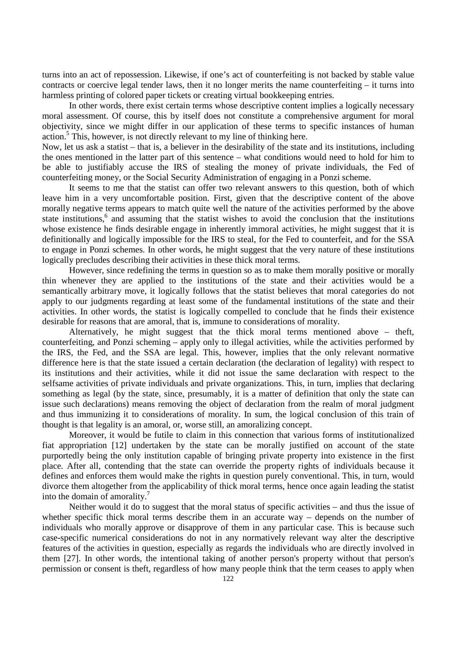turns into an act of repossession. Likewise, if one's act of counterfeiting is not backed by stable value contracts or coercive legal tender laws, then it no longer merits the name counterfeiting – it turns into harmless printing of colored paper tickets or creating virtual bookkeeping entries.

In other words, there exist certain terms whose descriptive content implies a logically necessary moral assessment. Of course, this by itself does not constitute a comprehensive argument for moral objectivity, since we might differ in our application of these terms to specific instances of human action.<sup>5</sup> This, however, is not directly relevant to my line of thinking here.

Now, let us ask a statist – that is, a believer in the desirability of the state and its institutions, including the ones mentioned in the latter part of this sentence – what conditions would need to hold for him to be able to justifiably accuse the IRS of stealing the money of private individuals, the Fed of counterfeiting money, or the Social Security Administration of engaging in a Ponzi scheme.

It seems to me that the statist can offer two relevant answers to this question, both of which leave him in a very uncomfortable position. First, given that the descriptive content of the above morally negative terms appears to match quite well the nature of the activities performed by the above state institutions,<sup>6</sup> and assuming that the statist wishes to avoid the conclusion that the institutions whose existence he finds desirable engage in inherently immoral activities, he might suggest that it is definitionally and logically impossible for the IRS to steal, for the Fed to counterfeit, and for the SSA to engage in Ponzi schemes. In other words, he might suggest that the very nature of these institutions logically precludes describing their activities in these thick moral terms.

However, since redefining the terms in question so as to make them morally positive or morally thin whenever they are applied to the institutions of the state and their activities would be a semantically arbitrary move, it logically follows that the statist believes that moral categories do not apply to our judgments regarding at least some of the fundamental institutions of the state and their activities. In other words, the statist is logically compelled to conclude that he finds their existence desirable for reasons that are amoral, that is, immune to considerations of morality.

Alternatively, he might suggest that the thick moral terms mentioned above – theft, counterfeiting, and Ponzi scheming – apply only to illegal activities, while the activities performed by the IRS, the Fed, and the SSA are legal. This, however, implies that the only relevant normative difference here is that the state issued a certain declaration (the declaration of legality) with respect to its institutions and their activities, while it did not issue the same declaration with respect to the selfsame activities of private individuals and private organizations. This, in turn, implies that declaring something as legal (by the state, since, presumably, it is a matter of definition that only the state can issue such declarations) means removing the object of declaration from the realm of moral judgment and thus immunizing it to considerations of morality. In sum, the logical conclusion of this train of thought is that legality is an amoral, or, worse still, an amoralizing concept.

Moreover, it would be futile to claim in this connection that various forms of institutionalized fiat appropriation [12] undertaken by the state can be morally justified on account of the state purportedly being the only institution capable of bringing private property into existence in the first place. After all, contending that the state can override the property rights of individuals because it defines and enforces them would make the rights in question purely conventional. This, in turn, would divorce them altogether from the applicability of thick moral terms, hence once again leading the statist into the domain of amorality. $\overline{1}$ 

Neither would it do to suggest that the moral status of specific activities – and thus the issue of whether specific thick moral terms describe them in an accurate way – depends on the number of individuals who morally approve or disapprove of them in any particular case. This is because such case-specific numerical considerations do not in any normatively relevant way alter the descriptive features of the activities in question, especially as regards the individuals who are directly involved in them [27]. In other words, the intentional taking of another person's property without that person's permission or consent is theft, regardless of how many people think that the term ceases to apply when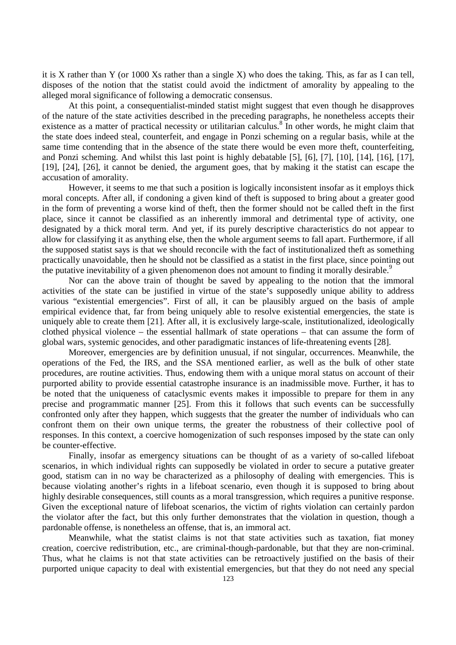it is X rather than Y (or 1000 Xs rather than a single X) who does the taking. This, as far as I can tell, disposes of the notion that the statist could avoid the indictment of amorality by appealing to the alleged moral significance of following a democratic consensus.

At this point, a consequentialist-minded statist might suggest that even though he disapproves of the nature of the state activities described in the preceding paragraphs, he nonetheless accepts their existence as a matter of practical necessity or utilitarian calculus.<sup>8</sup> In other words, he might claim that the state does indeed steal, counterfeit, and engage in Ponzi scheming on a regular basis, while at the same time contending that in the absence of the state there would be even more theft, counterfeiting, and Ponzi scheming. And whilst this last point is highly debatable [5], [6], [7], [10], [14], [16], [17], [19], [24], [26], it cannot be denied, the argument goes, that by making it the statist can escape the accusation of amorality.

However, it seems to me that such a position is logically inconsistent insofar as it employs thick moral concepts. After all, if condoning a given kind of theft is supposed to bring about a greater good in the form of preventing a worse kind of theft, then the former should not be called theft in the first place, since it cannot be classified as an inherently immoral and detrimental type of activity, one designated by a thick moral term. And yet, if its purely descriptive characteristics do not appear to allow for classifying it as anything else, then the whole argument seems to fall apart. Furthermore, if all the supposed statist says is that we should reconcile with the fact of institutionalized theft as something practically unavoidable, then he should not be classified as a statist in the first place, since pointing out the putative inevitability of a given phenomenon does not amount to finding it morally desirable.<sup>9</sup>

Nor can the above train of thought be saved by appealing to the notion that the immoral activities of the state can be justified in virtue of the state's supposedly unique ability to address various "existential emergencies". First of all, it can be plausibly argued on the basis of ample empirical evidence that, far from being uniquely able to resolve existential emergencies, the state is uniquely able to create them [21]. After all, it is exclusively large-scale, institutionalized, ideologically clothed physical violence – the essential hallmark of state operations – that can assume the form of global wars, systemic genocides, and other paradigmatic instances of life-threatening events [28].

Moreover, emergencies are by definition unusual, if not singular, occurrences. Meanwhile, the operations of the Fed, the IRS, and the SSA mentioned earlier, as well as the bulk of other state procedures, are routine activities. Thus, endowing them with a unique moral status on account of their purported ability to provide essential catastrophe insurance is an inadmissible move. Further, it has to be noted that the uniqueness of cataclysmic events makes it impossible to prepare for them in any precise and programmatic manner [25]. From this it follows that such events can be successfully confronted only after they happen, which suggests that the greater the number of individuals who can confront them on their own unique terms, the greater the robustness of their collective pool of responses. In this context, a coercive homogenization of such responses imposed by the state can only be counter-effective.

Finally, insofar as emergency situations can be thought of as a variety of so-called lifeboat scenarios, in which individual rights can supposedly be violated in order to secure a putative greater good, statism can in no way be characterized as a philosophy of dealing with emergencies. This is because violating another's rights in a lifeboat scenario, even though it is supposed to bring about highly desirable consequences, still counts as a moral transgression, which requires a punitive response. Given the exceptional nature of lifeboat scenarios, the victim of rights violation can certainly pardon the violator after the fact, but this only further demonstrates that the violation in question, though a pardonable offense, is nonetheless an offense, that is, an immoral act.

Meanwhile, what the statist claims is not that state activities such as taxation, fiat money creation, coercive redistribution, etc., are criminal-though-pardonable, but that they are non-criminal. Thus, what he claims is not that state activities can be retroactively justified on the basis of their purported unique capacity to deal with existential emergencies, but that they do not need any special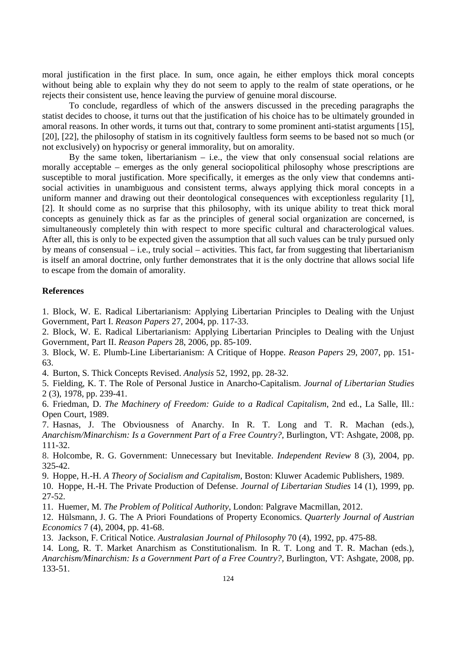moral justification in the first place. In sum, once again, he either employs thick moral concepts without being able to explain why they do not seem to apply to the realm of state operations, or he rejects their consistent use, hence leaving the purview of genuine moral discourse.

To conclude, regardless of which of the answers discussed in the preceding paragraphs the statist decides to choose, it turns out that the justification of his choice has to be ultimately grounded in amoral reasons. In other words, it turns out that, contrary to some prominent anti-statist arguments [15], [20], [22], the philosophy of statism in its cognitively faultless form seems to be based not so much (or not exclusively) on hypocrisy or general immorality, but on amorality.

By the same token, libertarianism  $-$  i.e., the view that only consensual social relations are morally acceptable – emerges as the only general sociopolitical philosophy whose prescriptions are susceptible to moral justification. More specifically, it emerges as the only view that condemns antisocial activities in unambiguous and consistent terms, always applying thick moral concepts in a uniform manner and drawing out their deontological consequences with exceptionless regularity [1], [2]. It should come as no surprise that this philosophy, with its unique ability to treat thick moral concepts as genuinely thick as far as the principles of general social organization are concerned, is simultaneously completely thin with respect to more specific cultural and characterological values. After all, this is only to be expected given the assumption that all such values can be truly pursued only by means of consensual – i.e., truly social – activities. This fact, far from suggesting that libertarianism is itself an amoral doctrine, only further demonstrates that it is the only doctrine that allows social life to escape from the domain of amorality.

## **References**

1. Block, W. E. Radical Libertarianism: Applying Libertarian Principles to Dealing with the Unjust Government, Part I. *Reason Papers* 27, 2004, pp. 117-33.

2. Block, W. E. Radical Libertarianism: Applying Libertarian Principles to Dealing with the Unjust Government, Part II. *Reason Papers* 28, 2006, pp. 85-109.

3. Block, W. E. Plumb-Line Libertarianism: A Critique of Hoppe. *Reason Papers* 29, 2007, pp. 151- 63.

4. Burton, S. Thick Concepts Revised. *Analysis* 52, 1992, pp. 28-32.

5. Fielding, K. T. The Role of Personal Justice in Anarcho-Capitalism. *Journal of Libertarian Studies* 2 (3), 1978, pp. 239-41.

6. Friedman, D. *The Machinery of Freedom: Guide to a Radical Capitalism*, 2nd ed., La Salle, Ill.: Open Court, 1989.

7. Hasnas, J. The Obviousness of Anarchy. In R. T. Long and T. R. Machan (eds.), *Anarchism/Minarchism: Is a Government Part of a Free Country?,* Burlington, VT: Ashgate, 2008, pp. 111-32.

8. Holcombe, R. G. Government: Unnecessary but Inevitable. *Independent Review* 8 (3), 2004, pp. 325-42.

9. Hoppe, H.-H. *A Theory of Socialism and Capitalism*, Boston: Kluwer Academic Publishers, 1989.

10. Hoppe, H.-H. The Private Production of Defense. *Journal of Libertarian Studies* 14 (1), 1999, pp. 27-52.

11. Huemer, M. *The Problem of Political Authority*, London: Palgrave Macmillan, 2012.

12. Hülsmann, J. G. The A Priori Foundations of Property Economics. *Quarterly Journal of Austrian Economics* 7 (4), 2004, pp. 41-68.

13. Jackson, F. Critical Notice. *Australasian Journal of Philosophy* 70 (4), 1992, pp. 475-88.

14. Long, R. T. Market Anarchism as Constitutionalism. In R. T. Long and T. R. Machan (eds.), *Anarchism/Minarchism: Is a Government Part of a Free Country?,* Burlington, VT: Ashgate, 2008, pp. 133-51.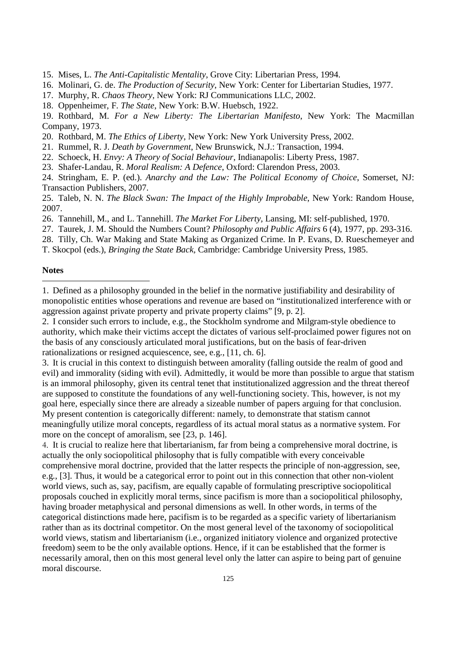- 15. Mises, L. *The Anti-Capitalistic Mentality*, Grove City: Libertarian Press, 1994.
- 16. Molinari, G. de. *The Production of Security*, New York: Center for Libertarian Studies, 1977.
- 17. Murphy, R. *Chaos Theory,* New York: RJ Communications LLC, 2002.
- 18. Oppenheimer, F. *The State*, New York: B.W. Huebsch, 1922.

19. Rothbard, M. *For a New Liberty: The Libertarian Manifesto*, New York: The Macmillan Company, 1973.

- 20. Rothbard, M. *The Ethics of Liberty*, New York: New York University Press, 2002.
- 21. Rummel, R. J. *Death by Government*, New Brunswick, N.J.: Transaction, 1994.
- 22. Schoeck, H. *Envy: A Theory of Social Behaviour*, Indianapolis: Liberty Press, 1987.
- 23. Shafer-Landau, R. *Moral Realism: A Defence*, Oxford: Clarendon Press, 2003.
- 24. Stringham, E. P. (ed.). *Anarchy and the Law: The Political Economy of Choice*, Somerset, NJ: Transaction Publishers, 2007.

25. Taleb, N. N. *The Black Swan: The Impact of the Highly Improbable*, New York: Random House, 2007.

- 26. Tannehill, M., and L. Tannehill. *The Market For Liberty,* Lansing, MI: self-published, 1970.
- 27. Taurek, J. M. Should the Numbers Count? *Philosophy and Public Affairs* 6 (4), 1977, pp. 293-316.
- 28. Tilly, Ch. War Making and State Making as Organized Crime. In P. Evans, D. Rueschemeyer and
- T. Skocpol (eds.), *Bringing the State Back,* Cambridge: Cambridge University Press, 1985.

## **Notes**   $\overline{a}$

2. I consider such errors to include, e.g., the Stockholm syndrome and Milgram-style obedience to authority, which make their victims accept the dictates of various self-proclaimed power figures not on the basis of any consciously articulated moral justifications, but on the basis of fear-driven rationalizations or resigned acquiescence, see, e.g., [11, ch. 6].

3. It is crucial in this context to distinguish between amorality (falling outside the realm of good and evil) and immorality (siding with evil). Admittedly, it would be more than possible to argue that statism is an immoral philosophy, given its central tenet that institutionalized aggression and the threat thereof are supposed to constitute the foundations of any well-functioning society. This, however, is not my goal here, especially since there are already a sizeable number of papers arguing for that conclusion. My present contention is categorically different: namely, to demonstrate that statism cannot meaningfully utilize moral concepts, regardless of its actual moral status as a normative system. For more on the concept of amoralism, see [23, p. 146].

4. It is crucial to realize here that libertarianism, far from being a comprehensive moral doctrine, is actually the only sociopolitical philosophy that is fully compatible with every conceivable comprehensive moral doctrine, provided that the latter respects the principle of non-aggression, see, e.g., [3]. Thus, it would be a categorical error to point out in this connection that other non-violent world views, such as, say, pacifism, are equally capable of formulating prescriptive sociopolitical proposals couched in explicitly moral terms, since pacifism is more than a sociopolitical philosophy, having broader metaphysical and personal dimensions as well. In other words, in terms of the categorical distinctions made here, pacifism is to be regarded as a specific variety of libertarianism rather than as its doctrinal competitor. On the most general level of the taxonomy of sociopolitical world views, statism and libertarianism (i.e., organized initiatory violence and organized protective freedom) seem to be the only available options. Hence, if it can be established that the former is necessarily amoral, then on this most general level only the latter can aspire to being part of genuine moral discourse.

<sup>1.</sup> Defined as a philosophy grounded in the belief in the normative justifiability and desirability of monopolistic entities whose operations and revenue are based on "institutionalized interference with or aggression against private property and private property claims" [9, p. 2].